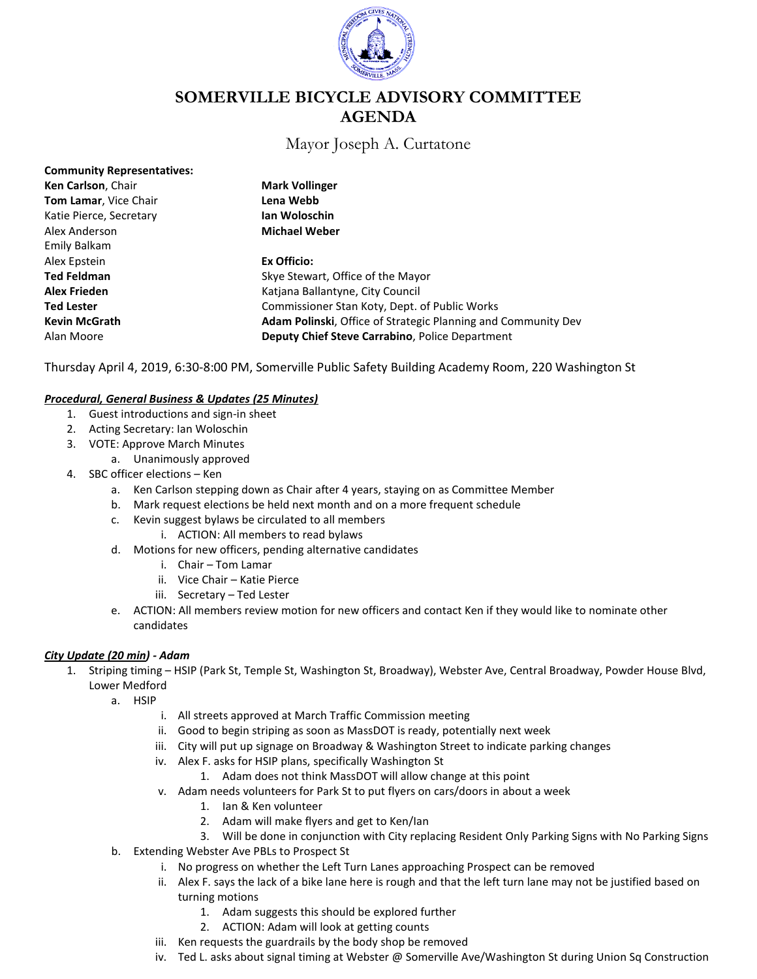

# **SOMERVILLE BICYCLE ADVISORY COMMITTEE AGENDA**

# Mayor Joseph A. Curtatone

| <b>Community Representatives:</b> |                                                                      |
|-----------------------------------|----------------------------------------------------------------------|
| Ken Carlson, Chair                | <b>Mark Vollinger</b>                                                |
| Tom Lamar, Vice Chair             | Lena Webb                                                            |
| Katie Pierce, Secretary           | Ian Woloschin                                                        |
| Alex Anderson                     | <b>Michael Weber</b>                                                 |
| Emily Balkam                      |                                                                      |
| Alex Epstein                      | Ex Officio:                                                          |
| <b>Ted Feldman</b>                | Skye Stewart, Office of the Mayor                                    |
| <b>Alex Frieden</b>               | Katiana Ballantyne, City Council                                     |
| <b>Ted Lester</b>                 | Commissioner Stan Koty, Dept. of Public Works                        |
| <b>Kevin McGrath</b>              | <b>Adam Polinski, Office of Strategic Planning and Community Dev</b> |
| Alan Moore                        | Deputy Chief Steve Carrabino, Police Department                      |

Thursday April 4, 2019, 6:30-8:00 PM, Somerville Public Safety Building Academy Room, 220 Washington St

#### *Procedural, General Business & Updates (25 Minutes)*

- 1. Guest introductions and sign-in sheet
- 2. Acting Secretary: Ian Woloschin
- 3. VOTE: Approve March Minutes
	- a. Unanimously approved
- 4. SBC officer elections Ken
	- a. Ken Carlson stepping down as Chair after 4 years, staying on as Committee Member
	- b. Mark request elections be held next month and on a more frequent schedule
	- c. Kevin suggest bylaws be circulated to all members
		- i. ACTION: All members to read bylaws
	- d. Motions for new officers, pending alternative candidates
		- i. Chair Tom Lamar
		- ii. Vice Chair Katie Pierce
		- iii. Secretary Ted Lester
	- e. ACTION: All members review motion for new officers and contact Ken if they would like to nominate other candidates

#### *City Update (20 min) - Adam*

- 1. Striping timing HSIP (Park St, Temple St, Washington St, Broadway), Webster Ave, Central Broadway, Powder House Blvd, Lower Medford
	- a. HSIP
		- i. All streets approved at March Traffic Commission meeting
		- ii. Good to begin striping as soon as MassDOT is ready, potentially next week
		- iii. City will put up signage on Broadway & Washington Street to indicate parking changes
		- iv. Alex F. asks for HSIP plans, specifically Washington St
			- 1. Adam does not think MassDOT will allow change at this point
		- v. Adam needs volunteers for Park St to put flyers on cars/doors in about a week
			- 1. Ian & Ken volunteer
			- 2. Adam will make flyers and get to Ken/Ian
			- 3. Will be done in conjunction with City replacing Resident Only Parking Signs with No Parking Signs
	- b. Extending Webster Ave PBLs to Prospect St
		- i. No progress on whether the Left Turn Lanes approaching Prospect can be removed
		- ii. Alex F. says the lack of a bike lane here is rough and that the left turn lane may not be justified based on turning motions
			- 1. Adam suggests this should be explored further
			- 2. ACTION: Adam will look at getting counts
		- iii. Ken requests the guardrails by the body shop be removed
		- iv. Ted L. asks about signal timing at Webster @ Somerville Ave/Washington St during Union Sq Construction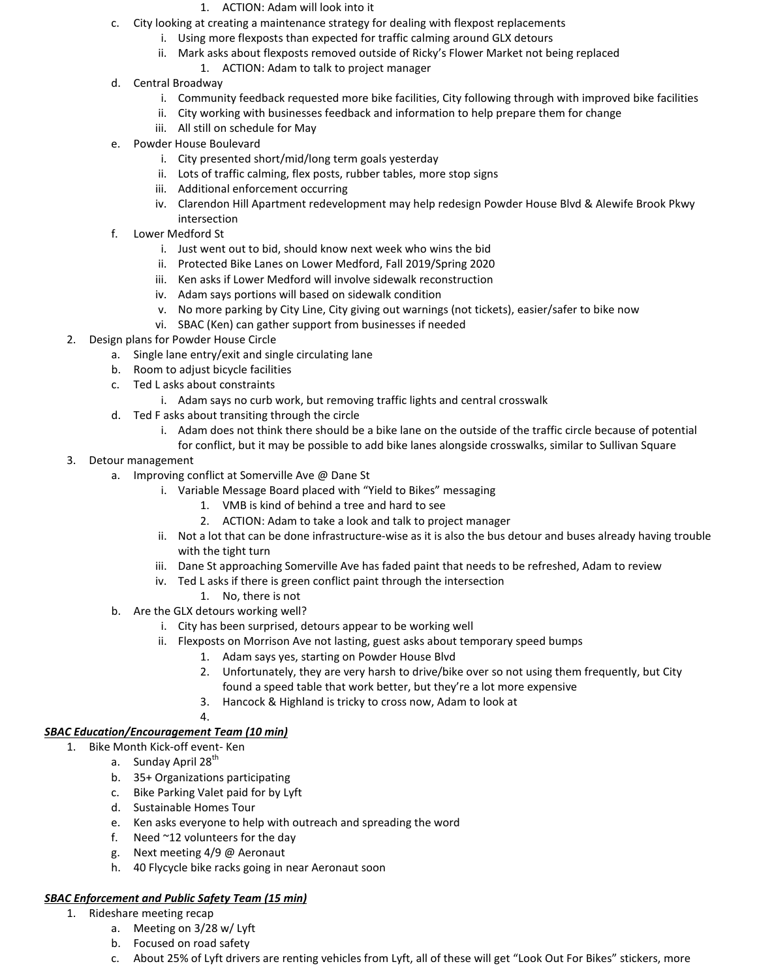- 1. ACTION: Adam will look into it
- c. City looking at creating a maintenance strategy for dealing with flexpost replacements
	- i. Using more flexposts than expected for traffic calming around GLX detours
	- ii. Mark asks about flexposts removed outside of Ricky's Flower Market not being replaced
		- 1. ACTION: Adam to talk to project manager
- d. Central Broadway
	- i. Community feedback requested more bike facilities, City following through with improved bike facilities
	- ii. City working with businesses feedback and information to help prepare them for change
	- iii. All still on schedule for May
- e. Powder House Boulevard
	- i. City presented short/mid/long term goals yesterday
	- ii. Lots of traffic calming, flex posts, rubber tables, more stop signs
	- iii. Additional enforcement occurring
	- iv. Clarendon Hill Apartment redevelopment may help redesign Powder House Blvd & Alewife Brook Pkwy intersection
- f. Lower Medford St
	- i. Just went out to bid, should know next week who wins the bid
	- ii. Protected Bike Lanes on Lower Medford, Fall 2019/Spring 2020
	- iii. Ken asks if Lower Medford will involve sidewalk reconstruction
	- iv. Adam says portions will based on sidewalk condition
	- v. No more parking by City Line, City giving out warnings (not tickets), easier/safer to bike now
	- vi. SBAC (Ken) can gather support from businesses if needed
- 2. Design plans for Powder House Circle
	- a. Single lane entry/exit and single circulating lane
	- b. Room to adjust bicycle facilities
	- c. Ted L asks about constraints
		- i. Adam says no curb work, but removing traffic lights and central crosswalk
	- d. Ted F asks about transiting through the circle
		- i. Adam does not think there should be a bike lane on the outside of the traffic circle because of potential for conflict, but it may be possible to add bike lanes alongside crosswalks, similar to Sullivan Square
- 3. Detour management
	- a. Improving conflict at Somerville Ave @ Dane St
		- i. Variable Message Board placed with "Yield to Bikes" messaging
			- 1. VMB is kind of behind a tree and hard to see
			- 2. ACTION: Adam to take a look and talk to project manager
		- ii. Not a lot that can be done infrastructure-wise as it is also the bus detour and buses already having trouble with the tight turn
		- iii. Dane St approaching Somerville Ave has faded paint that needs to be refreshed, Adam to review
		- iv. Ted L asks if there is green conflict paint through the intersection
			- 1. No, there is not
	- b. Are the GLX detours working well?
		- i. City has been surprised, detours appear to be working well
		- ii. Flexposts on Morrison Ave not lasting, guest asks about temporary speed bumps
			- 1. Adam says yes, starting on Powder House Blvd
			- 2. Unfortunately, they are very harsh to drive/bike over so not using them frequently, but City found a speed table that work better, but they're a lot more expensive
			- 3. Hancock & Highland is tricky to cross now, Adam to look at
			- 4.

#### *SBAC Education/Encouragement Team (10 min)*

- 1. Bike Month Kick-off event- Ken
	- a. Sunday April 28<sup>th</sup>
	- b. 35+ Organizations participating
	- c. Bike Parking Valet paid for by Lyft
	- d. Sustainable Homes Tour
	- e. Ken asks everyone to help with outreach and spreading the word
	- f. Need  $\approx$ 12 volunteers for the day
	- g. Next meeting 4/9 @ Aeronaut
	- h. 40 Flycycle bike racks going in near Aeronaut soon

#### *SBAC Enforcement and Public Safety Team (15 min)*

- 1. Rideshare meeting recap
	- a. Meeting on 3/28 w/ Lyft
	- b. Focused on road safety
	- c. About 25% of Lyft drivers are renting vehicles from Lyft, all of these will get "Look Out For Bikes" stickers, more